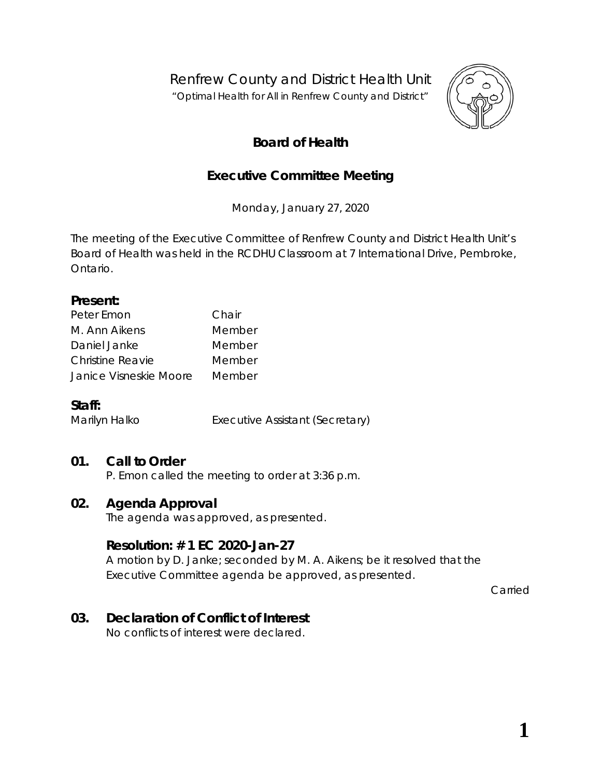Renfrew County and District Health Unit

*"Optimal Health for All in Renfrew County and District"*



# **Board of Health**

# **Executive Committee Meeting**

Monday, January 27, 2020

The meeting of the Executive Committee of Renfrew County and District Health Unit's Board of Health was held in the RCDHU Classroom at 7 International Drive, Pembroke, Ontario.

#### **Present:**

| Peter Emon              | Chair  |
|-------------------------|--------|
| M. Ann Aikens           | Member |
| Daniel Janke            | Member |
| <b>Christine Reavie</b> | Member |
| Janice Visneskie Moore  | Member |

### **Staff:**

Marilyn Halko **Executive Assistant (Secretary)** 

# **01. Call to Order**

P. Emon called the meeting to order at 3:36 p.m.

### **02. Agenda Approval**

The agenda was approved, as presented.

### **Resolution: # 1 EC 2020-Jan-27**

A motion by D. Janke; seconded by M. A. Aikens; be it resolved that the Executive Committee agenda be approved, as presented.

Carried

# **03. Declaration of Conflict of Interest**

No conflicts of interest were declared.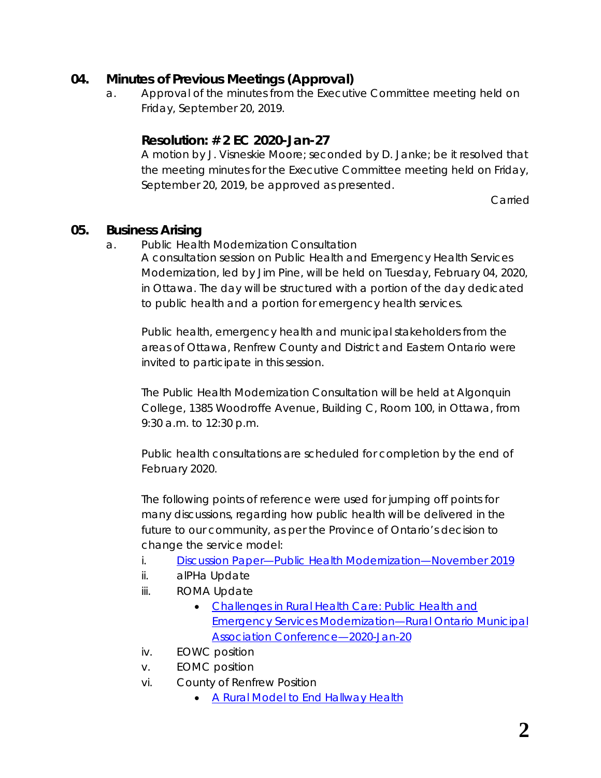## **04. Minutes of Previous Meetings (Approval)**

a. Approval of the minutes from the Executive Committee meeting held on Friday, September 20, 2019.

## **Resolution: # 2 EC 2020-Jan-27**

A motion by J. Visneskie Moore; seconded by D. Janke; be it resolved that the meeting minutes for the Executive Committee meeting held on Friday, September 20, 2019, be approved as presented.

Carried

### **05. Business Arising**

a. Public Health Modernization Consultation

A consultation session on Public Health and Emergency Health Services Modernization, led by Jim Pine, will be held on Tuesday, February 04, 2020, in Ottawa. The day will be structured with a portion of the day dedicated to public health and a portion for emergency health services.

Public health, emergency health and municipal stakeholders from the areas of Ottawa, Renfrew County and District and Eastern Ontario were invited to participate in this session.

The Public Health Modernization Consultation will be held at Algonquin College, 1385 Woodroffe Avenue, Building C, Room 100, in Ottawa, from 9:30 a.m. to 12:30 p.m.

Public health consultations are scheduled for completion by the end of February 2020.

The following points of reference were used for jumping off points for many discussions, regarding how public health will be delivered in the future to our community, as per the Province of Ontario's decision to change the service model:

- i. *[Discussion Paper—Public Health Modernization—November 2019](http://health.gov.on.ca/en/pro/programs/phehs_consultations/docs/dp_public_health_modernization.pdf)*
- ii. alPHa Update
- iii. ROMA Update
	- [Challenges in Rural Health Care: Public Health and](https://cdn.ymaws.com/www.alphaweb.org/resource/collection/9221E880-473D-46C9-A428-F4F1A67305F8/PMT_Presentation_ROMA_200120.pdf)  Emergency Services [Modernization—Rural Ontario Municipal](https://cdn.ymaws.com/www.alphaweb.org/resource/collection/9221E880-473D-46C9-A428-F4F1A67305F8/PMT_Presentation_ROMA_200120.pdf)  [Association Conference—2020-Jan-20](https://cdn.ymaws.com/www.alphaweb.org/resource/collection/9221E880-473D-46C9-A428-F4F1A67305F8/PMT_Presentation_ROMA_200120.pdf)
- iv. EOWC position
- v. EOMC position
- vi. County of Renfrew Position
	- [A Rural Model to End Hallway Health](http://portal.rcdhu.com/board/wp-content/uploads/2020/01/A-Rural-Model-to-End-Hallway-Health.pdf)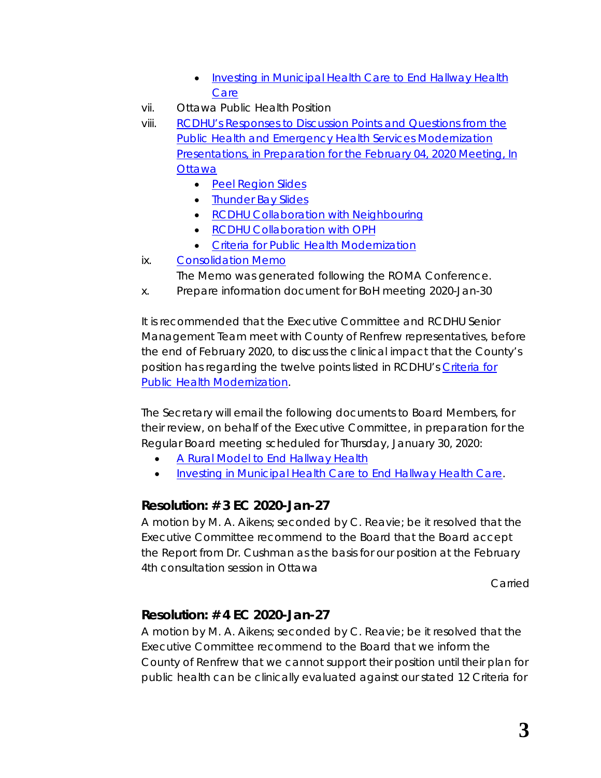- [Investing in Municipal Health Care to End Hallway Health](http://portal.rcdhu.com/board/wp-content/uploads/2020/01/Investing-in-Municipal-Health-Care-to-End-Hallway-Health-Care.pdf)  **[Care](http://portal.rcdhu.com/board/wp-content/uploads/2020/01/Investing-in-Municipal-Health-Care-to-End-Hallway-Health-Care.pdf)**
- vii. Ottawa Public Health Position
- viii. [RCDHU's Responses to Discussion Points and Questions from the](http://portal.rcdhu.com/board/wp-content/uploads/2020/01/RCDHU-Responses-to-Discussion-Points-and-Questions-from-the-Public-Health-and-Emergency-Health-Services-Modernization-Presentations-2020-Jan-23.pdf)  [Public Health and Emergency Health Services Modernization](http://portal.rcdhu.com/board/wp-content/uploads/2020/01/RCDHU-Responses-to-Discussion-Points-and-Questions-from-the-Public-Health-and-Emergency-Health-Services-Modernization-Presentations-2020-Jan-23.pdf)  [Presentations, in Preparation for the February 04, 2020 Meeting, In](http://portal.rcdhu.com/board/wp-content/uploads/2020/01/RCDHU-Responses-to-Discussion-Points-and-Questions-from-the-Public-Health-and-Emergency-Health-Services-Modernization-Presentations-2020-Jan-23.pdf)  **[Ottawa](http://portal.rcdhu.com/board/wp-content/uploads/2020/01/RCDHU-Responses-to-Discussion-Points-and-Questions-from-the-Public-Health-and-Emergency-Health-Services-Modernization-Presentations-2020-Jan-23.pdf)** 
	- [Peel Region Slides](http://portal.rcdhu.com/board/wp-content/uploads/2020/01/PH-EHS-Modernization-Peel-Region-Slides-12-23-and-24.pdf)
	- [Thunder Bay Slides](http://portal.rcdhu.com/board/wp-content/uploads/2020/01/PH-EHS-Modernization-Thunder-Bay-Slides-16-17-and-18.pdf)
	- [RCDHU Collaboration with Neighbouring](http://portal.rcdhu.com/board/wp-content/uploads/2020/01/RCDHU-Collaboration-With-Neighbouring-Health-Units.pdf)
	- [RCDHU Collaboration with OPH](http://portal.rcdhu.com/board/wp-content/uploads/2020/01/RCDHU-Collaboration-with-OPH.pdf)
	- [Criteria for Public Health Modernization](http://portal.rcdhu.com/board/wp-content/uploads/2020/01/Excel-Spreadsheet-Criteria-for-Public-Health-Modernization-2019-Sep-23.pdf)
- ix. [Consolidation Memo](http://portal.rcdhu.com/board/wp-content/uploads/2020/01/Consolidation-MEMO-2020-Jan-27-1.pdf)
	- The *Memo* was generated following the ROMA Conference.
- x. Prepare information document for BoH meeting 2020-Jan-30

It is recommended that the Executive Committee and RCDHU Senior Management Team meet with County of Renfrew representatives, before the end of February 2020, to discuss the clinical impact that the County's position has regarding the twelve points listed in RCDHU's [Criteria for](http://portal.rcdhu.com/board/wp-content/uploads/2020/01/Excel-Spreadsheet-Criteria-for-Public-Health-Modernization-2019-Sep-23.pdf)  [Public Health Modernization.](http://portal.rcdhu.com/board/wp-content/uploads/2020/01/Excel-Spreadsheet-Criteria-for-Public-Health-Modernization-2019-Sep-23.pdf)

The Secretary will email the following documents to Board Members, for their review, on behalf of the Executive Committee, in preparation for the Regular Board meeting scheduled for Thursday, January 30, 2020:

- [A Rural Model to End Hallway Health](http://portal.rcdhu.com/board/wp-content/uploads/2020/01/A-Rural-Model-to-End-Hallway-Health.pdf)
- [Investing in Municipal Health Care to End Hallway Health Care.](http://portal.rcdhu.com/board/wp-content/uploads/2020/01/Investing-in-Municipal-Health-Care-to-End-Hallway-Health-Care.pdf)

# **Resolution: # 3 EC 2020-Jan-27**

A motion by M. A. Aikens; seconded by C. Reavie; be it resolved that the Executive Committee recommend to the Board that the Board accept the Report from Dr. Cushman as the basis for our position at the February 4th consultation session in Ottawa

Carried

# **Resolution: # 4 EC 2020-Jan-27**

A motion by M. A. Aikens; seconded by C. Reavie; be it resolved that the Executive Committee recommend to the Board that we inform the County of Renfrew that we cannot support their position until their plan for public health can be clinically evaluated against our stated 12 Criteria for